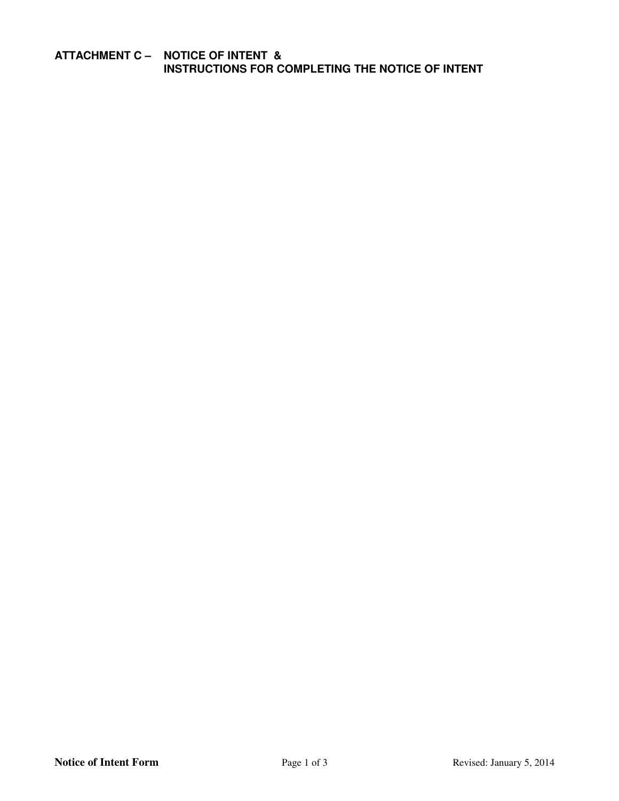# **ATTACHMENT C – NOTICE OF INTENT & INSTRUCTIONS FOR COMPLETING THE NOTICE OF INTENT**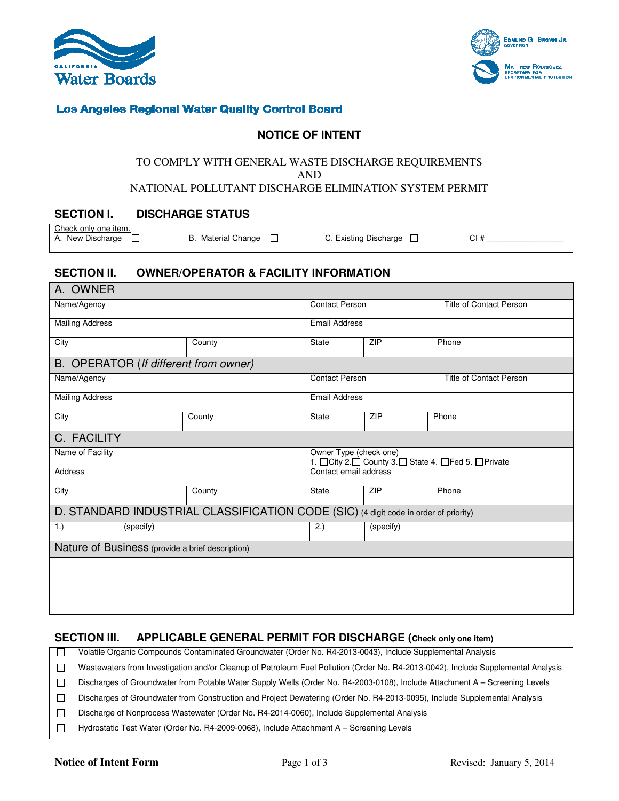



# **Los Angeles Regional Water Quality Control Board**

# **NOTICE OF INTENT**

#### TO COMPLY WITH GENERAL WASTE DISCHARGE REQUIREMENTS

AND

#### NATIONAL POLLUTANT DISCHARGE ELIMINATION SYSTEM PERMIT

### **SECTION I. DISCHARGE STATUS**

Check only one item.<br>A. New Discharge  $\Box$ 

B. Material Change  $\Box$  C. Existing Discharge  $\Box$  CI #

# **SECTION II. OWNER/OPERATOR & FACILITY INFORMATION**

| A. OWNER                                                                             |                       |                                                                          |                                |       |  |  |  |  |
|--------------------------------------------------------------------------------------|-----------------------|--------------------------------------------------------------------------|--------------------------------|-------|--|--|--|--|
| Name/Agency                                                                          | <b>Contact Person</b> |                                                                          | <b>Title of Contact Person</b> |       |  |  |  |  |
| <b>Mailing Address</b>                                                               |                       | <b>Email Address</b>                                                     |                                |       |  |  |  |  |
| City                                                                                 | County                | <b>State</b>                                                             | <b>ZIP</b>                     | Phone |  |  |  |  |
| B. OPERATOR (If different from owner)                                                |                       |                                                                          |                                |       |  |  |  |  |
| Name/Agency                                                                          | <b>Contact Person</b> |                                                                          | <b>Title of Contact Person</b> |       |  |  |  |  |
| <b>Mailing Address</b>                                                               | <b>Email Address</b>  |                                                                          |                                |       |  |  |  |  |
| City                                                                                 | County                | State                                                                    | ZIP                            | Phone |  |  |  |  |
| C. FACILITY                                                                          |                       |                                                                          |                                |       |  |  |  |  |
| Name of Facility                                                                     |                       | Owner Type (check one)<br>1. Oity 2. Ocunty 3. State 4. OFed 5. OPrivate |                                |       |  |  |  |  |
| <b>Address</b>                                                                       | Contact email address |                                                                          |                                |       |  |  |  |  |
| City                                                                                 | County                | <b>State</b>                                                             | <b>ZIP</b>                     | Phone |  |  |  |  |
| D. STANDARD INDUSTRIAL CLASSIFICATION CODE (SIC) (4 digit code in order of priority) |                       |                                                                          |                                |       |  |  |  |  |
| 1.)<br>(specify)                                                                     |                       | 2.)                                                                      | (specify)                      |       |  |  |  |  |
| Nature of Business (provide a brief description)                                     |                       |                                                                          |                                |       |  |  |  |  |
|                                                                                      |                       |                                                                          |                                |       |  |  |  |  |
|                                                                                      |                       |                                                                          |                                |       |  |  |  |  |
|                                                                                      |                       |                                                                          |                                |       |  |  |  |  |

### **SECTION III. APPLICABLE GENERAL PERMIT FOR DISCHARGE (Check only one item)**

 $\Box$ Volatile Organic Compounds Contaminated Groundwater (Order No. R4-2013-0043), Include Supplemental Analysis  $\Box$ Wastewaters from Investigation and/or Cleanup of Petroleum Fuel Pollution (Order No. R4-2013-0042), Include Supplemental Analysis

 $\Box$ Discharges of Groundwater from Potable Water Supply Wells (Order No. R4-2003-0108), Include Attachment A – Screening Levels  $\Box$ Discharges of Groundwater from Construction and Project Dewatering (Order No. R4-2013-0095), Include Supplemental Analysis

 $\Box$ Discharge of Nonprocess Wastewater (Order No. R4-2014-0060), Include Supplemental Analysis

 $\Box$ Hydrostatic Test Water (Order No. R4-2009-0068), Include Attachment A – Screening Levels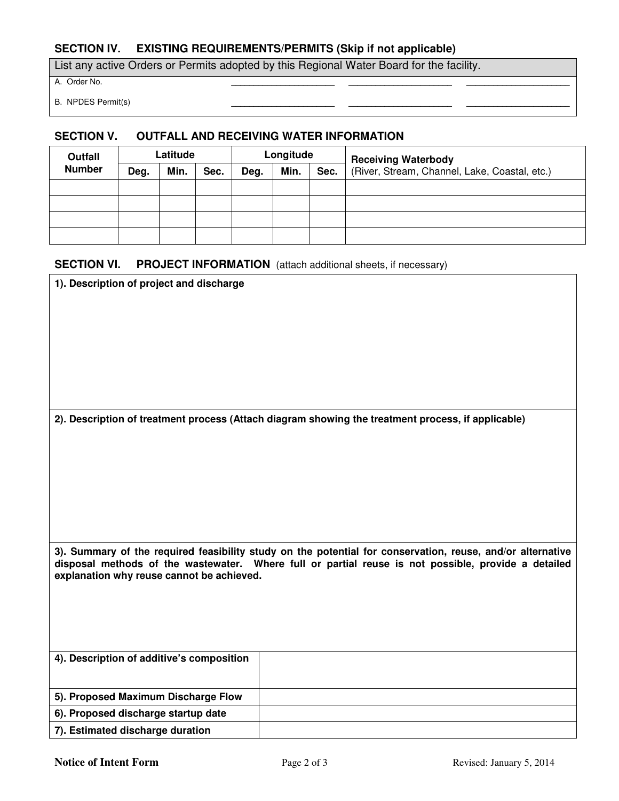# **SECTION IV. EXISTING REQUIREMENTS/PERMITS (Skip if not applicable)**

List any active Orders or Permits adopted by this Regional Water Board for the facility.

A. Order No. **\_\_\_\_\_\_\_\_\_\_\_\_\_\_\_\_\_\_\_\_\_\_\_ \_\_\_\_\_\_\_\_\_\_\_\_\_\_\_\_\_\_\_\_\_\_\_ \_\_\_\_\_\_\_\_\_\_\_\_\_\_\_\_\_\_\_\_\_\_\_** 

**B.** NPDES Permit(s)

#### **SECTION V. OUTFALL AND RECEIVING WATER INFORMATION**

| Outfall       | Latitude |      | Longitude |      |      | <b>Receiving Waterbody</b> |                                               |
|---------------|----------|------|-----------|------|------|----------------------------|-----------------------------------------------|
| <b>Number</b> | Deg.     | Min. | Sec.      | Deg. | Min. | Sec.                       | (River, Stream, Channel, Lake, Coastal, etc.) |
|               |          |      |           |      |      |                            |                                               |
|               |          |      |           |      |      |                            |                                               |
|               |          |      |           |      |      |                            |                                               |
|               |          |      |           |      |      |                            |                                               |

#### **SECTION VI.** PROJECT INFORMATION (attach additional sheets, if necessary)

| 1). Description of project and discharge                                                                                                                                                                                                                       |  |  |  |  |  |  |
|----------------------------------------------------------------------------------------------------------------------------------------------------------------------------------------------------------------------------------------------------------------|--|--|--|--|--|--|
|                                                                                                                                                                                                                                                                |  |  |  |  |  |  |
|                                                                                                                                                                                                                                                                |  |  |  |  |  |  |
|                                                                                                                                                                                                                                                                |  |  |  |  |  |  |
|                                                                                                                                                                                                                                                                |  |  |  |  |  |  |
|                                                                                                                                                                                                                                                                |  |  |  |  |  |  |
|                                                                                                                                                                                                                                                                |  |  |  |  |  |  |
|                                                                                                                                                                                                                                                                |  |  |  |  |  |  |
| 2). Description of treatment process (Attach diagram showing the treatment process, if applicable)                                                                                                                                                             |  |  |  |  |  |  |
|                                                                                                                                                                                                                                                                |  |  |  |  |  |  |
|                                                                                                                                                                                                                                                                |  |  |  |  |  |  |
|                                                                                                                                                                                                                                                                |  |  |  |  |  |  |
|                                                                                                                                                                                                                                                                |  |  |  |  |  |  |
|                                                                                                                                                                                                                                                                |  |  |  |  |  |  |
|                                                                                                                                                                                                                                                                |  |  |  |  |  |  |
|                                                                                                                                                                                                                                                                |  |  |  |  |  |  |
| 3). Summary of the required feasibility study on the potential for conservation, reuse, and/or alternative<br>disposal methods of the wastewater. Where full or partial reuse is not possible, provide a detailed<br>explanation why reuse cannot be achieved. |  |  |  |  |  |  |
|                                                                                                                                                                                                                                                                |  |  |  |  |  |  |
|                                                                                                                                                                                                                                                                |  |  |  |  |  |  |
|                                                                                                                                                                                                                                                                |  |  |  |  |  |  |
|                                                                                                                                                                                                                                                                |  |  |  |  |  |  |
| 4). Description of additive's composition                                                                                                                                                                                                                      |  |  |  |  |  |  |
|                                                                                                                                                                                                                                                                |  |  |  |  |  |  |
|                                                                                                                                                                                                                                                                |  |  |  |  |  |  |
| 5). Proposed Maximum Discharge Flow                                                                                                                                                                                                                            |  |  |  |  |  |  |
| 6). Proposed discharge startup date                                                                                                                                                                                                                            |  |  |  |  |  |  |
| 7). Estimated discharge duration                                                                                                                                                                                                                               |  |  |  |  |  |  |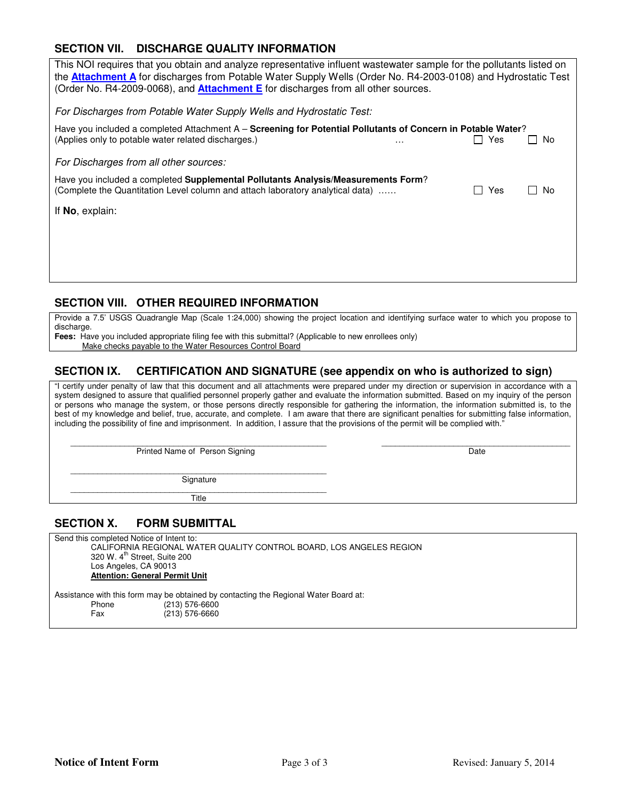# **SECTION VII. DISCHARGE QUALITY INFORMATION**

| This NOI requires that you obtain and analyze representative influent wastewater sample for the pollutants listed on<br>the <b>Attachment A</b> for discharges from Potable Water Supply Wells (Order No. R4-2003-0108) and Hydrostatic Test<br>(Order No. R4-2009-0068), and <b>Attachment E</b> for discharges from all other sources. |     |                      |  |  |  |  |  |
|------------------------------------------------------------------------------------------------------------------------------------------------------------------------------------------------------------------------------------------------------------------------------------------------------------------------------------------|-----|----------------------|--|--|--|--|--|
| For Discharges from Potable Water Supply Wells and Hydrostatic Test:                                                                                                                                                                                                                                                                     |     |                      |  |  |  |  |  |
| Have you included a completed Attachment A - Screening for Potential Pollutants of Concern in Potable Water?                                                                                                                                                                                                                             |     |                      |  |  |  |  |  |
| (Applies only to potable water related discharges.)<br>.                                                                                                                                                                                                                                                                                 | Yes | - No<br>$\mathsf{L}$ |  |  |  |  |  |
| For Discharges from all other sources:                                                                                                                                                                                                                                                                                                   |     |                      |  |  |  |  |  |
| Have you included a completed Supplemental Pollutants Analysis/Measurements Form?<br>(Complete the Quantitation Level column and attach laboratory analytical data)                                                                                                                                                                      | Yes | l I No               |  |  |  |  |  |
| If No, explain:                                                                                                                                                                                                                                                                                                                          |     |                      |  |  |  |  |  |
|                                                                                                                                                                                                                                                                                                                                          |     |                      |  |  |  |  |  |
|                                                                                                                                                                                                                                                                                                                                          |     |                      |  |  |  |  |  |
|                                                                                                                                                                                                                                                                                                                                          |     |                      |  |  |  |  |  |

# **SECTION VIII. OTHER REQUIRED INFORMATION**

Provide a 7.5' USGS Quadrangle Map (Scale 1:24,000) showing the project location and identifying surface water to which you propose to discharge.

**Fees:** Have you included appropriate filing fee with this submittal? (Applicable to new enrollees only)

Make checks payable to the Water Resources Control Board

### **SECTION IX. CERTIFICATION AND SIGNATURE (see appendix on who is authorized to sign)**

"I certify under penalty of law that this document and all attachments were prepared under my direction or supervision in accordance with a system designed to assure that qualified personnel properly gather and evaluate the information submitted. Based on my inquiry of the person or persons who manage the system, or those persons directly responsible for gathering the information, the information submitted is, to the best of my knowledge and belief, true, accurate, and complete. I am aware that there are significant penalties for submitting false information, including the possibility of fine and imprisonment. In addition, I assure that the provisions of the permit will be complied with."

 \_\_\_\_\_\_\_\_\_\_\_\_\_\_\_\_\_\_\_\_\_\_\_\_\_\_\_\_\_\_\_\_\_\_\_\_\_\_\_\_\_\_\_\_\_\_\_\_\_\_\_\_\_\_\_\_\_ \_\_\_\_\_\_\_\_\_\_\_\_\_\_\_\_\_\_\_\_\_\_\_\_\_\_\_\_\_\_\_\_\_\_\_\_\_\_\_\_\_\_ Printed Name of Person Signing Date

 $\overline{\phantom{a}}$  ,  $\overline{\phantom{a}}$  ,  $\overline{\phantom{a}}$  ,  $\overline{\phantom{a}}$  ,  $\overline{\phantom{a}}$  ,  $\overline{\phantom{a}}$  ,  $\overline{\phantom{a}}$  ,  $\overline{\phantom{a}}$  ,  $\overline{\phantom{a}}$  ,  $\overline{\phantom{a}}$  ,  $\overline{\phantom{a}}$  ,  $\overline{\phantom{a}}$  ,  $\overline{\phantom{a}}$  ,  $\overline{\phantom{a}}$  ,  $\overline{\phantom{a}}$  ,  $\overline{\phantom{a}}$ **Signature** 

 \_\_\_\_\_\_\_\_\_\_\_\_\_\_\_\_\_\_\_\_\_\_\_\_\_\_\_\_\_\_\_\_\_\_\_\_\_\_\_\_\_\_\_\_\_\_\_\_\_\_\_\_\_\_\_\_\_ **Title** 

# **SECTION X. FORM SUBMITTAL**

Send this completed Notice of Intent to: CALIFORNIA REGIONAL WATER QUALITY CONTROL BOARD, LOS ANGELES REGION 320 W. 4<sup>th</sup> Street, Suite 200 Los Angeles, CA 90013 **Attention: General Permit Unit**  Assistance with this form may be obtained by contacting the Regional Water Board at:

 $(213)$  576-6600 Fax (213) 576-6660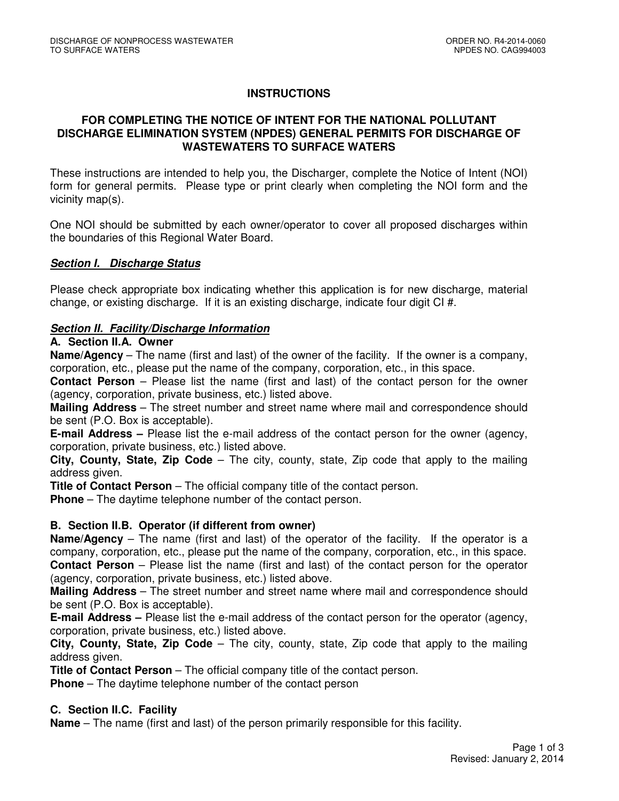# **INSTRUCTIONS**

# **FOR COMPLETING THE NOTICE OF INTENT FOR THE NATIONAL POLLUTANT DISCHARGE ELIMINATION SYSTEM (NPDES) GENERAL PERMITS FOR DISCHARGE OF WASTEWATERS TO SURFACE WATERS**

These instructions are intended to help you, the Discharger, complete the Notice of Intent (NOI) form for general permits. Please type or print clearly when completing the NOI form and the vicinity map(s).

One NOI should be submitted by each owner/operator to cover all proposed discharges within the boundaries of this Regional Water Board.

# **Section I. Discharge Status**

Please check appropriate box indicating whether this application is for new discharge, material change, or existing discharge. If it is an existing discharge, indicate four digit CI #.

# **Section II. Facility/Discharge Information**

### **A. Section II.A. Owner**

**Name/Agency** – The name (first and last) of the owner of the facility. If the owner is a company, corporation, etc., please put the name of the company, corporation, etc., in this space.

**Contact Person** – Please list the name (first and last) of the contact person for the owner (agency, corporation, private business, etc.) listed above.

**Mailing Address** – The street number and street name where mail and correspondence should be sent (P.O. Box is acceptable).

**E-mail Address –** Please list the e-mail address of the contact person for the owner (agency, corporation, private business, etc.) listed above.

**City, County, State, Zip Code** – The city, county, state, Zip code that apply to the mailing address given.

**Title of Contact Person** – The official company title of the contact person.

**Phone** – The daytime telephone number of the contact person.

### **B. Section II.B. Operator (if different from owner)**

**Name/Agency** – The name (first and last) of the operator of the facility. If the operator is a company, corporation, etc., please put the name of the company, corporation, etc., in this space. **Contact Person** – Please list the name (first and last) of the contact person for the operator (agency, corporation, private business, etc.) listed above.

**Mailing Address** – The street number and street name where mail and correspondence should be sent (P.O. Box is acceptable).

**E-mail Address –** Please list the e-mail address of the contact person for the operator (agency, corporation, private business, etc.) listed above.

**City, County, State, Zip Code** – The city, county, state, Zip code that apply to the mailing address given.

**Title of Contact Person** – The official company title of the contact person.

**Phone** – The daytime telephone number of the contact person

### **C. Section II.C. Facility**

**Name** – The name (first and last) of the person primarily responsible for this facility.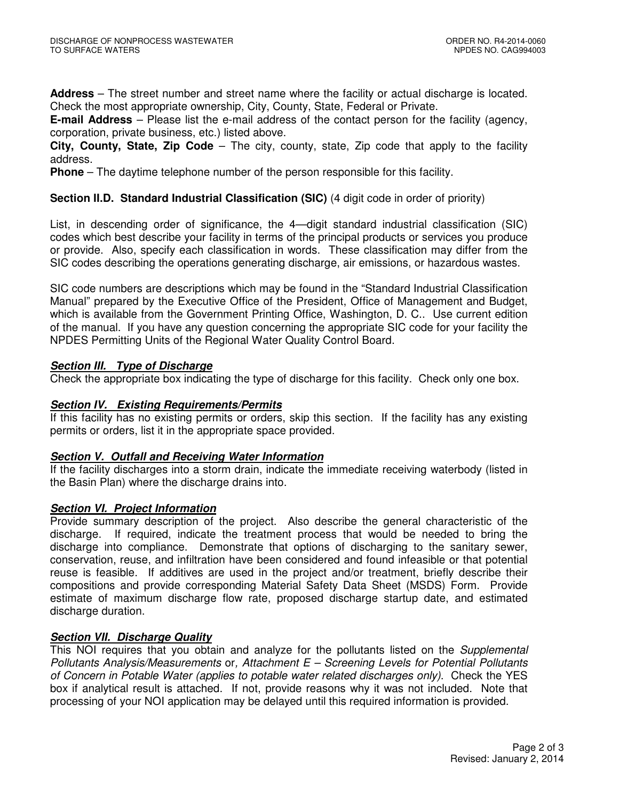**Address** – The street number and street name where the facility or actual discharge is located. Check the most appropriate ownership, City, County, State, Federal or Private.

**E-mail Address** – Please list the e-mail address of the contact person for the facility (agency, corporation, private business, etc.) listed above.

**City, County, State, Zip Code** – The city, county, state, Zip code that apply to the facility address.

**Phone** – The daytime telephone number of the person responsible for this facility.

# **Section II.D. Standard Industrial Classification (SIC)** (4 digit code in order of priority)

List, in descending order of significance, the 4—digit standard industrial classification (SIC) codes which best describe your facility in terms of the principal products or services you produce or provide. Also, specify each classification in words. These classification may differ from the SIC codes describing the operations generating discharge, air emissions, or hazardous wastes.

SIC code numbers are descriptions which may be found in the "Standard Industrial Classification Manual" prepared by the Executive Office of the President, Office of Management and Budget, which is available from the Government Printing Office, Washington, D. C.. Use current edition of the manual. If you have any question concerning the appropriate SIC code for your facility the NPDES Permitting Units of the Regional Water Quality Control Board.

# **Section III. Type of Discharge**

Check the appropriate box indicating the type of discharge for this facility. Check only one box.

### **Section IV. Existing Requirements/Permits**

If this facility has no existing permits or orders, skip this section. If the facility has any existing permits or orders, list it in the appropriate space provided.

### **Section V. Outfall and Receiving Water Information**

If the facility discharges into a storm drain, indicate the immediate receiving waterbody (listed in the Basin Plan) where the discharge drains into.

### **Section VI. Project Information**

Provide summary description of the project. Also describe the general characteristic of the discharge. If required, indicate the treatment process that would be needed to bring the discharge into compliance. Demonstrate that options of discharging to the sanitary sewer, conservation, reuse, and infiltration have been considered and found infeasible or that potential reuse is feasible. If additives are used in the project and/or treatment, briefly describe their compositions and provide corresponding Material Safety Data Sheet (MSDS) Form. Provide estimate of maximum discharge flow rate, proposed discharge startup date, and estimated discharge duration.

# **Section VII. Discharge Quality**

This NOI requires that you obtain and analyze for the pollutants listed on the Supplemental Pollutants Analysis/Measurements or, Attachment  $E -$  Screening Levels for Potential Pollutants of Concern in Potable Water (applies to potable water related discharges only). Check the YES box if analytical result is attached. If not, provide reasons why it was not included. Note that processing of your NOI application may be delayed until this required information is provided.